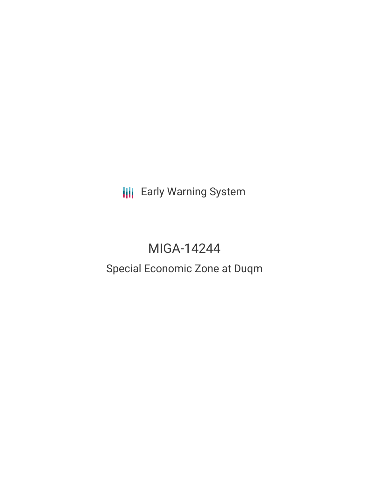**III** Early Warning System

# MIGA-14244

# Special Economic Zone at Duqm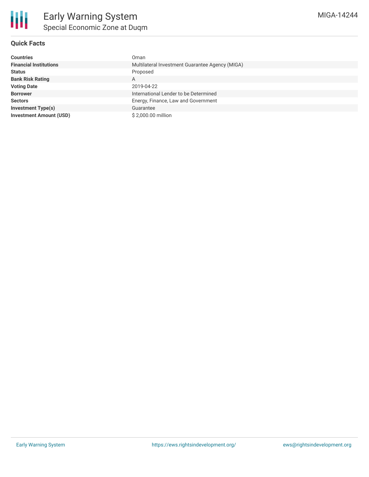

### **Quick Facts**

| <b>Countries</b>               | Oman                                            |
|--------------------------------|-------------------------------------------------|
| <b>Financial Institutions</b>  | Multilateral Investment Guarantee Agency (MIGA) |
| <b>Status</b>                  | Proposed                                        |
| <b>Bank Risk Rating</b>        | A                                               |
| <b>Voting Date</b>             | 2019-04-22                                      |
| <b>Borrower</b>                | International Lender to be Determined           |
| <b>Sectors</b>                 | Energy, Finance, Law and Government             |
| <b>Investment Type(s)</b>      | Guarantee                                       |
| <b>Investment Amount (USD)</b> | \$2,000.00 million                              |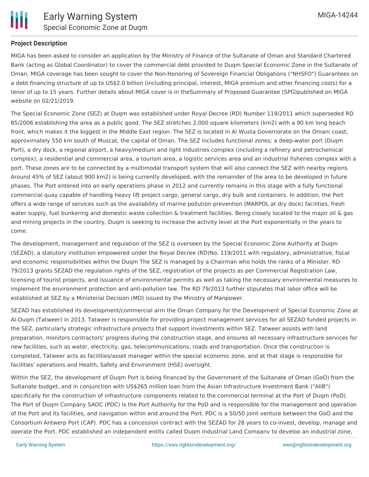

#### **Project Description**

MIGA has been asked to consider an application by the Ministry of Finance of the Sultanate of Oman and Standard Chartered Bank (acting as Global Coordinator) to cover the commercial debt provided to Duqm Special Economic Zone in the Sultanate of Oman. MIGA coverage has been sought to cover the Non-Honoring of Sovereign Financial Obligations ("NHSFO") Guarantees on a debt financing structure of up to US\$2.0 billion (including principal, interest, MIGA premium and other financing costs) for a tenor of up to 15 years. Further details about MIGA cover is in theSummary of Proposed Guarantee (SPG)published on MIGA website on 02/21/2019.

The Special Economic Zone (SEZ) at Duqm was established under Royal Decree (RD) Number 119/2011 which superseded RD 85/2006 establishing the area as a public good. The SEZ stretches 2,000 square kilometers (km2) with a 90 km long beach front, which makes it the biggest in the Middle East region. The SEZ is located in Al Wusta Governorate on the Omani coast, approximately 550 km south of Muscat, the capital of Oman. The SEZ includes functional zones: a deep-water port (Duqm Port), a dry dock, a regional airport, a heavy/medium and light industries complex (including a refinery and petrochemical complex), a residential and commercial area, a tourism area, a logistic services area and an industrial fisheries complex with a port. These zones are to be connected by a multimodal transport system that will also connect the SEZ with nearby regions. Around 45% of SEZ (about 900 km2) is being currently developed, with the remainder of the area to be developed in future phases. The Port entered into an early operations phase in 2012 and currently remains in this stage with a fully functional commercial quay capable of handling heavy lift project cargo, general cargo, dry bulk and containers. In addition, the Port offers a wide range of services such as the availability of marine pollution prevention (MARPOL at dry dock) facilities, fresh water supply, fuel bunkering and domestic waste collection & treatment facilities. Being closely located to the major oil & gas and mining projects in the country, Duqm is seeking to increase the activity level at the Port exponentially in the years to come.

The development, management and regulation of the SEZ is overseen by the Special Economic Zone Authority at Duqm (SEZAD), a statutory institution empowered under the Royal Decree (RD)No. 119/2011 with regulatory, administrative, fiscal and economic responsibilities within the Duqm The SEZ is managed by a Chairman who holds the ranks of a Minister. RD 79/2013 grants SEZAD the regulation rights of the SEZ, registration of the projects as per Commercial Registration Law, licensing of tourist projects, and issuance of environmental permits as well as taking the necessary environmental measures to implement the environment protection and anti-pollution law. The RD 79/2013 further stipulates that labor office will be established at SEZ by a Ministerial Decision (MD) issued by the Ministry of Manpower.

SEZAD has established its development/commercial arm the Oman Company for the Development of Special Economic Zone at Al-Duqm (Tatweer) in 2013. Tatweer is responsible for providing project management services for all SEZAD funded projects in the SEZ, particularly strategic infrastructure projects that support investments within SEZ. Tatweer assists with land preparation, monitors contractors' progress during the construction stage, and ensures all necessary infrastructure services for new facilities, such as water, electricity, gas, telecommunications, roads and transportation. Once the construction is completed, Tatweer acts as facilities/asset manager within the special economic zone, and at that stage is responsible for facilities' operations and Health, Safety and Environment (HSE) oversight.

Within the SEZ, the development of Duqm Port is being financed by the Government of the Sultanate of Oman (GoO) from the Sultanate budget, and in conjunction with US\$265 million loan from the Asian Infrastructure Investment Bank ("AIIB") specifically for the construction of infrastructure components related to the commercial terminal at the Port of Duqm (PoD). The Port of Duqm Company SAOC (PDC) is the Port Authority for the PoD and is responsible for the management and operation of the Port and its facilities, and navigation within and around the Port. PDC is a 50/50 joint venture between the GoO and the Consortium Antwerp Port (CAP). PDC has a concession contract with the SEZAD for 28 years to co-invest, develop, manage and operate the Port. PDC established an independent entity called Duqm Industrial Land Company to develop an industrial zone,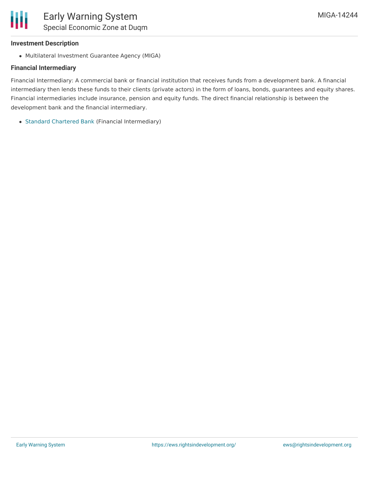#### **Investment Description**

Ш

Multilateral Investment Guarantee Agency (MIGA)

### **Financial Intermediary**

Financial Intermediary: A commercial bank or financial institution that receives funds from a development bank. A financial intermediary then lends these funds to their clients (private actors) in the form of loans, bonds, guarantees and equity shares. Financial intermediaries include insurance, pension and equity funds. The direct financial relationship is between the development bank and the financial intermediary.

Standard [Chartered](file:///actor/1112/) Bank (Financial Intermediary)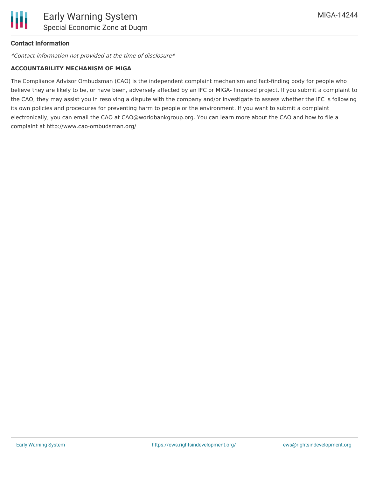### **Contact Information**

\*Contact information not provided at the time of disclosure\*

#### **ACCOUNTABILITY MECHANISM OF MIGA**

The Compliance Advisor Ombudsman (CAO) is the independent complaint mechanism and fact-finding body for people who believe they are likely to be, or have been, adversely affected by an IFC or MIGA- financed project. If you submit a complaint to the CAO, they may assist you in resolving a dispute with the company and/or investigate to assess whether the IFC is following its own policies and procedures for preventing harm to people or the environment. If you want to submit a complaint electronically, you can email the CAO at CAO@worldbankgroup.org. You can learn more about the CAO and how to file a complaint at http://www.cao-ombudsman.org/